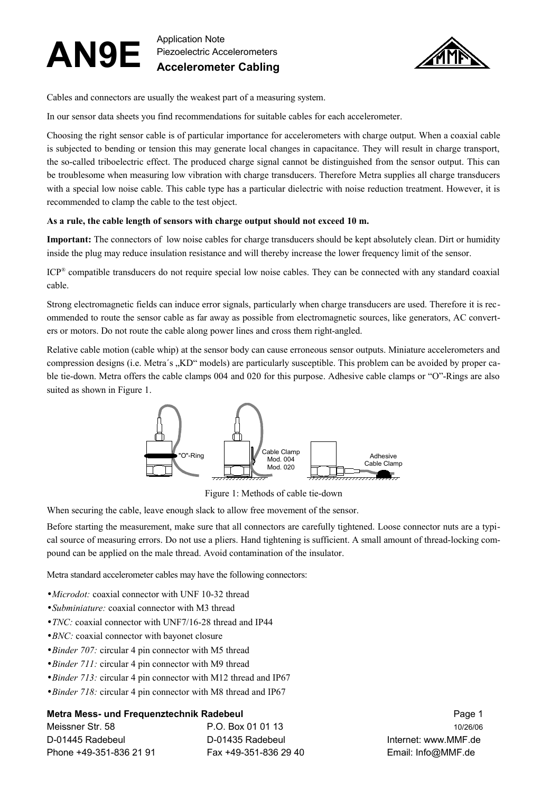#### **AN9E** Application Note Piezoelectric Accelerometers **Accelerometer Cabling**



Cables and connectors are usually the weakest part of a measuring system.

In our sensor data sheets you find recommendations for suitable cables for each accelerometer.

Choosing the right sensor cable is of particular importance for accelerometers with charge output. When a coaxial cable is subjected to bending or tension this may generate local changes in capacitance. They will result in charge transport, the so-called triboelectric effect. The produced charge signal cannot be distinguished from the sensor output. This can be troublesome when measuring low vibration with charge transducers. Therefore Metra supplies all charge transducers with a special low noise cable. This cable type has a particular dielectric with noise reduction treatment. However, it is recommended to clamp the cable to the test object.

#### **As a rule, the cable length of sensors with charge output should not exceed 10 m.**

**Important:** The connectors of low noise cables for charge transducers should be kept absolutely clean. Dirt or humidity inside the plug may reduce insulation resistance and will thereby increase the lower frequency limit of the sensor.

ICP ® compatible transducers do not require special low noise cables. They can be connected with any standard coaxial cable.

Strong electromagnetic fields can induce error signals, particularly when charge transducers are used. Therefore it is recommended to route the sensor cable as far away as possible from electromagnetic sources, like generators, AC converters or motors. Do not route the cable along power lines and cross them right-angled.

Relative cable motion (cable whip) at the sensor body can cause erroneous sensor outputs. Miniature accelerometers and compression designs (i.e. Metra's "KD" models) are particularly susceptible. This problem can be avoided by proper cable tie-down. Metra offers the cable clamps 004 and 020 for this purpose. Adhesive cable clamps or "O"-Rings are also suited as shown in [Figure](#page-0-0) 1.



<span id="page-0-0"></span>Figure 1: Methods of cable tie-down

When securing the cable, leave enough slack to allow free movement of the sensor.

Before starting the measurement, make sure that all connectors are carefully tightened. Loose connector nuts are a typical source of measuring errors. Do not use a pliers. Hand tightening is sufficient. A small amount of thread-locking compound can be applied on the male thread. Avoid contamination of the insulator.

Metra standard accelerometer cables may have the following connectors:

- •*Microdot:* coaxial connector with UNF 10-32 thread
- •*Subminiature:* coaxial connector with M3 thread
- •*TNC:* coaxial connector with UNF7/16-28 thread and IP44
- •*BNC*: coaxial connector with bayonet closure
- •*Binder 707:* circular 4 pin connector with M5 thread
- •*Binder 711:* circular 4 pin connector with M9 thread
- •*Binder 713:* circular 4 pin connector with M12 thread and IP67
- •*Binder 718*: circular 4 pin connector with M8 thread and IP67

# **Metra Mess- und Frequenztechnik Radebeul** Page 1

| Meissner Str. 58        | P.O. Box 01 01 13     | 10/26/06             |
|-------------------------|-----------------------|----------------------|
| D-01445 Radebeul        | D-01435 Radebeul      | Internet: www.MMF.de |
| Phone +49-351-836 21 91 | Fax +49-351-836 29 40 | Email: Info@MMF.de   |

Internet: www.MMF.de Email: Info@MMF.de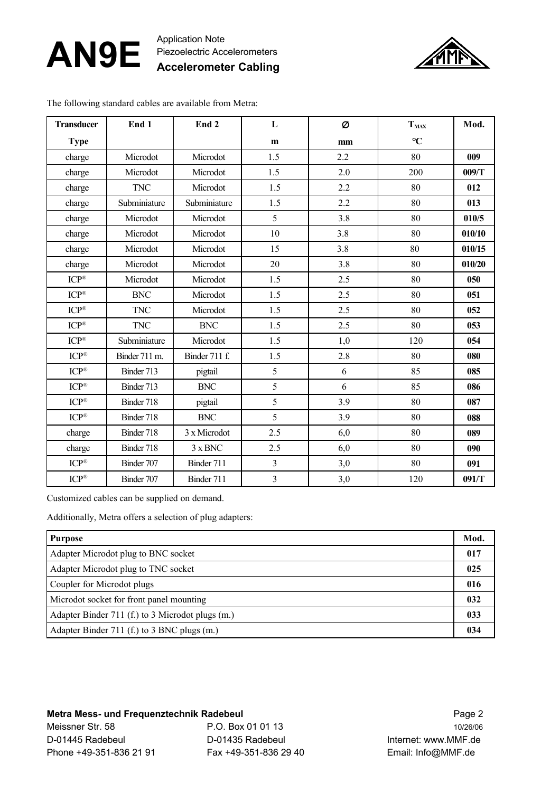#### **AN9E** Application Note Piezoelectric Accelerometers **Accelerometer Cabling**



The following standard cables are available from Metra:

| <b>Transducer</b>        | End 1         | End <sub>2</sub> | $\mathbf{L}$            | Ø   | T <sub>MAX</sub> | Mod.   |
|--------------------------|---------------|------------------|-------------------------|-----|------------------|--------|
| <b>Type</b>              |               |                  | m                       | mm  | $\rm ^{\circ}C$  |        |
| charge                   | Microdot      | Microdot         | 1.5                     | 2.2 | 80               | 009    |
| charge                   | Microdot      | Microdot         | 1.5                     | 2.0 | 200              | 009/T  |
| charge                   | <b>TNC</b>    | Microdot         | 1.5                     | 2.2 | 80               | 012    |
| charge                   | Subminiature  | Subminiature     | 1.5                     | 2.2 | 80               | 013    |
| charge                   | Microdot      | Microdot         | 5                       | 3.8 | 80               | 010/5  |
| charge                   | Microdot      | Microdot         | 10                      | 3.8 | 80               | 010/10 |
| charge                   | Microdot      | Microdot         | 15                      | 3.8 | 80               | 010/15 |
| charge                   | Microdot      | Microdot         | 20                      | 3.8 | 80               | 010/20 |
| $ICP^*$                  | Microdot      | Microdot         | 1.5                     | 2.5 | 80               | 050    |
| ICP®                     | <b>BNC</b>    | Microdot         | 1.5                     | 2.5 | 80               | 051    |
| $\text{ICP}^{\circledR}$ | <b>TNC</b>    | Microdot         | 1.5                     | 2.5 | 80               | 052    |
| $ICP^*$                  | <b>TNC</b>    | <b>BNC</b>       | 1.5                     | 2.5 | 80               | 053    |
| $ICP^{\circledR}$        | Subminiature  | Microdot         | 1.5                     | 1,0 | 120              | 054    |
| $ICP^{\circledR}$        | Binder 711 m. | Binder 711 f.    | 1.5                     | 2.8 | 80               | 080    |
| ICP®                     | Binder 713    | pigtail          | 5                       | 6   | 85               | 085    |
| $ICP^{\circledR}$        | Binder 713    | <b>BNC</b>       | 5                       | 6   | 85               | 086    |
| $\mathrm{ICP}^\circledR$ | Binder 718    | pigtail          | 5                       | 3.9 | 80               | 087    |
| $ICP^*$                  | Binder 718    | <b>BNC</b>       | 5                       | 3.9 | 80               | 088    |
| charge                   | Binder 718    | 3 x Microdot     | 2.5                     | 6,0 | 80               | 089    |
| charge                   | Binder 718    | $3 \times BNC$   | 2.5                     | 6,0 | 80               | 090    |
| $ICP^{\otimes}$          | Binder 707    | Binder 711       | 3                       | 3,0 | 80               | 091    |
| $ICP^{\circledR}$        | Binder 707    | Binder 711       | $\overline{\mathbf{3}}$ | 3,0 | 120              | 091/T  |

Customized cables can be supplied on demand.

Additionally, Metra offers a selection of plug adapters:

| <b>Purpose</b>                                   |  |  |
|--------------------------------------------------|--|--|
| Adapter Microdot plug to BNC socket              |  |  |
| Adapter Microdot plug to TNC socket              |  |  |
| Coupler for Microdot plugs                       |  |  |
| Microdot socket for front panel mounting         |  |  |
| Adapter Binder 711 (f.) to 3 Microdot plugs (m.) |  |  |
| Adapter Binder 711 (f.) to 3 BNC plugs (m.)      |  |  |

# **Metra Mess- und Frequenztechnik Radebeul** Page 2

Meissner Str. 58 P.O. Box 01 01 13 10/26/06 D-01445 Radebeul D-01435 Radebeul Internet: www.MMF.de Phone +49-351-836 21 91 Fax +49-351-836 29 40 Email: Info@MMF.de